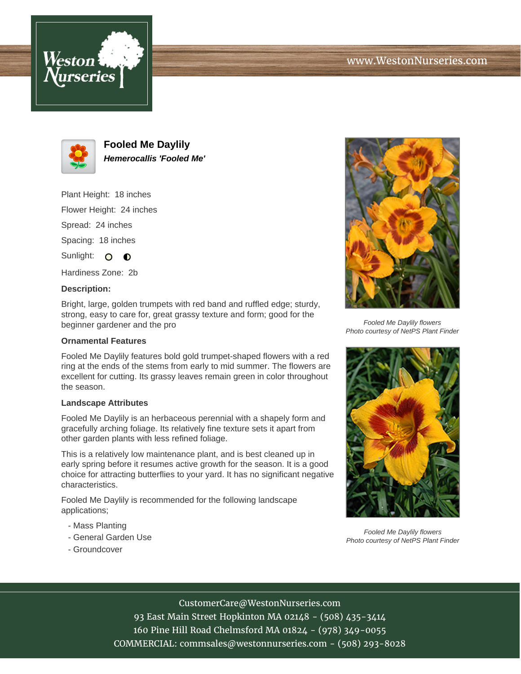



**Fooled Me Daylily Hemerocallis 'Fooled Me'**

Plant Height: 18 inches

Flower Height: 24 inches

Spread: 24 inches

Spacing: 18 inches

Sunlight: O O

Hardiness Zone: 2b

## **Description:**

Bright, large, golden trumpets with red band and ruffled edge; sturdy, strong, easy to care for, great grassy texture and form; good for the beginner gardener and the pro

## **Ornamental Features**

Fooled Me Daylily features bold gold trumpet-shaped flowers with a red ring at the ends of the stems from early to mid summer. The flowers are excellent for cutting. Its grassy leaves remain green in color throughout the season.

## **Landscape Attributes**

Fooled Me Daylily is an herbaceous perennial with a shapely form and gracefully arching foliage. Its relatively fine texture sets it apart from other garden plants with less refined foliage.

This is a relatively low maintenance plant, and is best cleaned up in early spring before it resumes active growth for the season. It is a good choice for attracting butterflies to your yard. It has no significant negative characteristics.

Fooled Me Daylily is recommended for the following landscape applications;

- Mass Planting
- General Garden Use
- Groundcover



Fooled Me Daylily flowers Photo courtesy of NetPS Plant Finder



Fooled Me Daylily flowers Photo courtesy of NetPS Plant Finder

CustomerCare@WestonNurseries.com

93 East Main Street Hopkinton MA 02148 - (508) 435-3414 160 Pine Hill Road Chelmsford MA 01824 - (978) 349-0055 COMMERCIAL: commsales@westonnurseries.com - (508) 293-8028